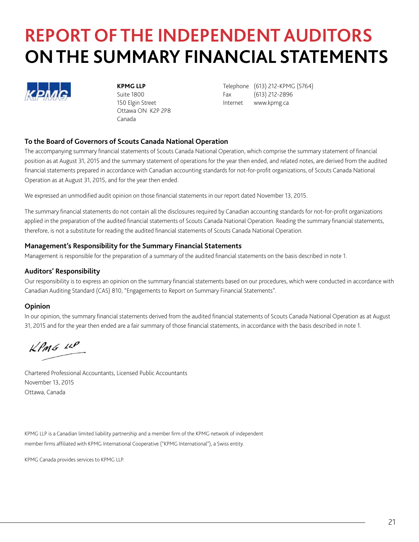# **REPORT OF THE INDEPENDENT AUDITORS ON THE SUMMARY FINANCIAL STATEMENTS**



Ottawa ON K2P 2P8 Canada

**KPMG LLP** Telephone (613) 212-KPMG (5764) Suite 1800 **Fax** (613) 212-2896 150 Elgin Street **Internet** www.kpmg.ca

#### **To the Board of Governors of Scouts Canada National Operation**

The accompanying summary financial statements of Scouts Canada National Operation, which comprise the summary statement of financial position as at August 31, 2015 and the summary statement of operations for the year then ended, and related notes, are derived from the audited financial statements prepared in accordance with Canadian accounting standards for not-for-profit organizations, of Scouts Canada National Operation as at August 31, 2015, and for the year then ended.

We expressed an unmodified audit opinion on those financial statements in our report dated November 13, 2015.

The summary financial statements do not contain all the disclosures required by Canadian accounting standards for not-for-profit organizations applied in the preparation of the audited financial statements of Scouts Canada National Operation. Reading the summary financial statements, therefore, is not a substitute for reading the audited financial statements of Scouts Canada National Operation.

#### **Management's Responsibility for the Summary Financial Statements**

Management is responsible for the preparation of a summary of the audited financial statements on the basis described in note 1.

#### **Auditors' Responsibility**

Our responsibility is to express an opinion on the summary financial statements based on our procedures, which were conducted in accordance with Canadian Auditing Standard (CAS) 810, "Engagements to Report on Summary Financial Statements".

#### **Opinion**

In our opinion, the summary financial statements derived from the audited financial statements of Scouts Canada National Operation as at August 31, 2015 and for the year then ended are a fair summary of those financial statements, in accordance with the basis described in note 1.

 $L$ PMG  $10$ 

Chartered Professional Accountants, Licensed Public Accountants November 13, 2015 Ottawa, Canada

KPMG LLP is a Canadian limited liability partnership and a member firm of the KPMG network of independent member firms affiliated with KPMG International Cooperative ("KPMG International"), a Swiss entity.

KPMG Canada provides services to KPMG LLP.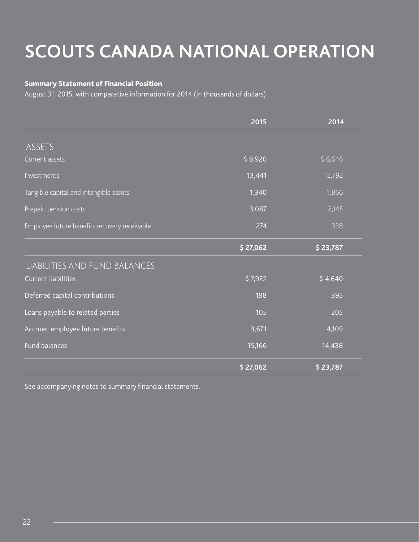# **SCOUTS CANADA NATIONAL OPERATION**

### Summary Statement of Financial Position

August 31, 2015, with comparative information for 2014 (In thousands of dollars)

|                                              | 2015     | 2014     |
|----------------------------------------------|----------|----------|
| <b>ASSETS</b>                                |          |          |
| Current assets                               | \$8,920  | \$6,646  |
| Investments                                  | 13,441   | 12,792   |
| Tangible capital and intangible assets       | 1,340    | 1,866    |
| Prepaid pension costs                        | 3,087    | 2,145    |
| Employee future benefits recovery receivable | 274      | 338      |
|                                              | \$27,062 | \$23,787 |
| LIABILITIES AND FUND BALANCES                |          |          |
| <b>Current liabilities</b>                   | \$7,922  | \$4,640  |
| Deferred capital contributions               | 198      | 395      |
| Loans payable to related parties             | 105      | 205      |
| Accrued employee future benefits             | 3,671    | 4,109    |
| <b>Fund balances</b>                         | 15,166   | 14,438   |
|                                              | \$27,062 | \$23,787 |

See accompanying notes to summary financial statements.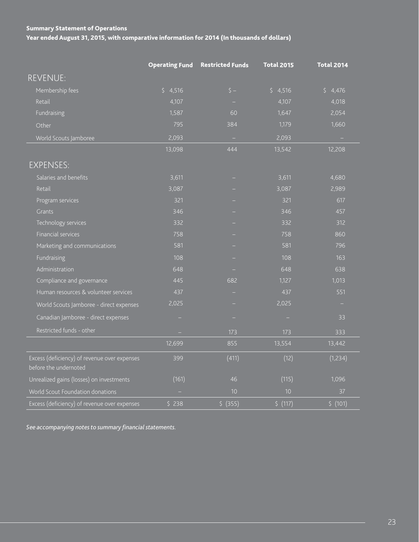## Summary Statement of Operations Year ended August 31, 2015, with comparative information for 2014 (In thousands of dollars)

|                                                                       | <b>Operating Fund</b> | <b>Restricted Funds</b> | <b>Total 2015</b> | <b>Total 2014</b> |
|-----------------------------------------------------------------------|-----------------------|-------------------------|-------------------|-------------------|
| <b>REVENUE:</b>                                                       |                       |                         |                   |                   |
| Membership fees                                                       | \$4,516               | $\zeta$ -               | \$4,516           | \$<br>4,476       |
| Retail                                                                | 4,107                 |                         | 4,107             | 4,018             |
| Fundraising                                                           | 1,587                 | 60                      | 1,647             | 2,054             |
| Other                                                                 | 795                   | 384                     | 1,179             | 1,660             |
| World Scouts Jamboree                                                 | 2,093                 | $\sim$                  | 2,093             | $\qquad \qquad -$ |
|                                                                       | 13,098                | 444                     | 13,542            | 12,208            |
| <b>EXPENSES:</b>                                                      |                       |                         |                   |                   |
| Salaries and benefits                                                 | 3,611                 |                         | 3,611             | 4,680             |
| Retail                                                                | 3,087                 |                         | 3,087             | 2,989             |
| Program services                                                      | 321                   |                         | 321               | 617               |
| Grants                                                                | 346                   |                         | 346               | 457               |
| Technology services                                                   | 332                   |                         | 332               | 312               |
| Financial services                                                    | 758                   |                         | 758               | 860               |
| Marketing and communications                                          | 581                   |                         | 581               | 796               |
| Fundraising                                                           | 108                   |                         | 108               | 163               |
| Administration                                                        | 648                   |                         | 648               | 638               |
| Compliance and governance                                             | 445                   | 682                     | 1,127             | 1,013             |
| Human resources & volunteer services                                  | 437                   |                         | 437               | 551               |
| World Scouts Jamboree - direct expenses                               | 2,025                 |                         | 2,025             | ÷                 |
| Canadian Jamboree - direct expenses                                   |                       |                         | ÷                 | 33                |
| Restricted funds - other                                              |                       | 173                     | 173               | 333               |
|                                                                       | 12,699                | 855                     | 13,554            | 13,442            |
| Excess (deficiency) of revenue over expenses<br>before the undernoted | 399                   | (411)                   | (12)              | (1,234)           |
| Unrealized gains (losses) on investments                              | (161)                 | 46                      | (115)             | 1,096             |
| World Scout Foundation donations                                      |                       | 10                      | 10                | 37                |
| Excess (deficiency) of revenue over expenses                          | \$238                 | \$ (355)                | 5(117)            | \$(101)           |

*See accompanying notes to summary financial statements.*